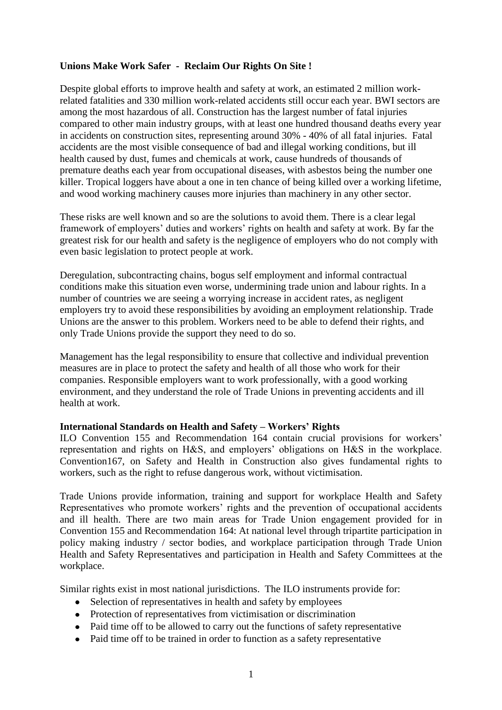# **Unions Make Work Safer - Reclaim Our Rights On Site !**

Despite global efforts to improve health and safety at work, an estimated 2 million workrelated fatalities and 330 million work-related accidents still occur each year. BWI sectors are among the most hazardous of all. Construction has the largest number of fatal injuries compared to other main industry groups, with at least one hundred thousand deaths every year in accidents on construction sites, representing around 30% - 40% of all fatal injuries. Fatal accidents are the most visible consequence of bad and illegal working conditions, but ill health caused by dust, fumes and chemicals at work, cause hundreds of thousands of premature deaths each year from occupational diseases, with asbestos being the number one killer. Tropical loggers have about a one in ten chance of being killed over a working lifetime, and wood working machinery causes more injuries than machinery in any other sector.

These risks are well known and so are the solutions to avoid them. There is a clear legal framework of employers' duties and workers' rights on health and safety at work. By far the greatest risk for our health and safety is the negligence of employers who do not comply with even basic legislation to protect people at work.

Deregulation, subcontracting chains, bogus self employment and informal contractual conditions make this situation even worse, undermining trade union and labour rights. In a number of countries we are seeing a worrying increase in accident rates, as negligent employers try to avoid these responsibilities by avoiding an employment relationship. Trade Unions are the answer to this problem. Workers need to be able to defend their rights, and only Trade Unions provide the support they need to do so.

Management has the legal responsibility to ensure that collective and individual prevention measures are in place to protect the safety and health of all those who work for their companies. Responsible employers want to work professionally, with a good working environment, and they understand the role of Trade Unions in preventing accidents and ill health at work.

### **International Standards on Health and Safety – Workers' Rights**

ILO Convention 155 and Recommendation 164 contain crucial provisions for workers" representation and rights on H&S, and employers" obligations on H&S in the workplace. Convention167, on Safety and Health in Construction also gives fundamental rights to workers, such as the right to refuse dangerous work, without victimisation.

Trade Unions provide information, training and support for workplace Health and Safety Representatives who promote workers' rights and the prevention of occupational accidents and ill health. There are two main areas for Trade Union engagement provided for in Convention 155 and Recommendation 164: At national level through tripartite participation in policy making industry / sector bodies, and workplace participation through Trade Union Health and Safety Representatives and participation in Health and Safety Committees at the workplace.

Similar rights exist in most national jurisdictions. The ILO instruments provide for:

- Selection of representatives in health and safety by employees
- Protection of representatives from victimisation or discrimination
- Paid time off to be allowed to carry out the functions of safety representative
- Paid time off to be trained in order to function as a safety representative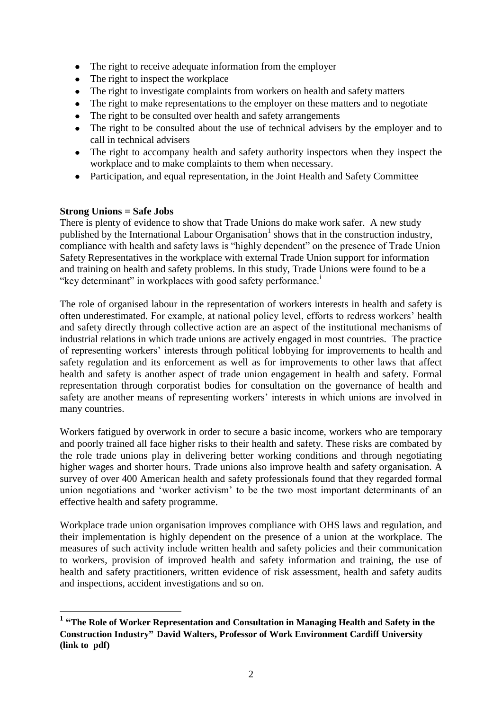- The right to receive adequate information from the employer
- The right to inspect the workplace
- The right to investigate complaints from workers on health and safety matters
- The right to make representations to the employer on these matters and to negotiate
- The right to be consulted over health and safety arrangements  $\bullet$
- The right to be consulted about the use of technical advisers by the employer and to  $\bullet$ call in technical advisers
- The right to accompany health and safety authority inspectors when they inspect the workplace and to make complaints to them when necessary.
- Participation, and equal representation, in the Joint Health and Safety Committee

### **Strong Unions = Safe Jobs**

There is plenty of evidence to show that Trade Unions do make work safer. A new study published by the International Labour Organisation<sup>1</sup> shows that in the construction industry, compliance with health and safety laws is "highly dependent" on the presence of Trade Union Safety Representatives in the workplace with external Trade Union support for information and training on health and safety problems. In this study, Trade Unions were found to be a "key determinant" in workplaces with good safety performance.<sup>1</sup>

The role of organised labour in the representation of workers interests in health and safety is often underestimated. For example, at national policy level, efforts to redress workers" health and safety directly through collective action are an aspect of the institutional mechanisms of industrial relations in which trade unions are actively engaged in most countries. The practice of representing workers" interests through political lobbying for improvements to health and safety regulation and its enforcement as well as for improvements to other laws that affect health and safety is another aspect of trade union engagement in health and safety. Formal representation through corporatist bodies for consultation on the governance of health and safety are another means of representing workers' interests in which unions are involved in many countries.

Workers fatigued by overwork in order to secure a basic income, workers who are temporary and poorly trained all face higher risks to their health and safety. These risks are combated by the role trade unions play in delivering better working conditions and through negotiating higher wages and shorter hours. Trade unions also improve health and safety organisation. A survey of over 400 American health and safety professionals found that they regarded formal union negotiations and "worker activism" to be the two most important determinants of an effective health and safety programme.

Workplace trade union organisation improves compliance with OHS laws and regulation, and their implementation is highly dependent on the presence of a union at the workplace. The measures of such activity include written health and safety policies and their communication to workers, provision of improved health and safety information and training, the use of health and safety practitioners, written evidence of risk assessment, health and safety audits and inspections, accident investigations and so on.

 **1 "The Role of Worker Representation and Consultation in Managing Health and Safety in the Construction Industry" David Walters, Professor of Work Environment Cardiff University (link to pdf)**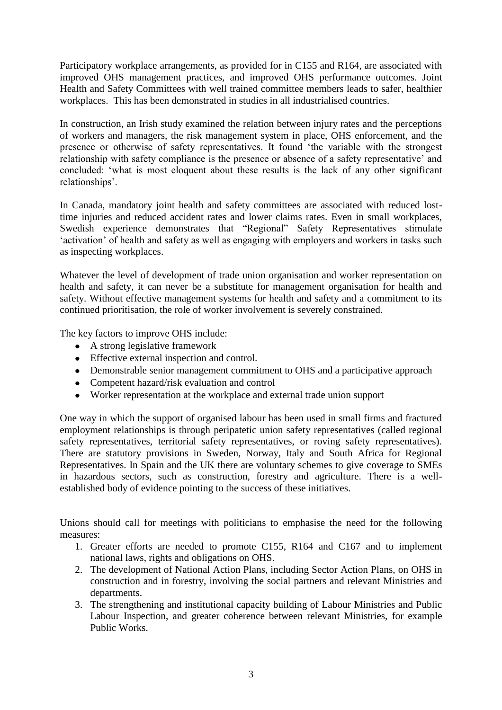Participatory workplace arrangements, as provided for in C155 and R164, are associated with improved OHS management practices, and improved OHS performance outcomes. Joint Health and Safety Committees with well trained committee members leads to safer, healthier workplaces. This has been demonstrated in studies in all industrialised countries.

In construction, an Irish study examined the relation between injury rates and the perceptions of workers and managers, the risk management system in place, OHS enforcement, and the presence or otherwise of safety representatives. It found "the variable with the strongest relationship with safety compliance is the presence or absence of a safety representative' and concluded: "what is most eloquent about these results is the lack of any other significant relationships'.

In Canada, mandatory joint health and safety committees are associated with reduced losttime injuries and reduced accident rates and lower claims rates. Even in small workplaces, Swedish experience demonstrates that "Regional" Safety Representatives stimulate 'activation' of health and safety as well as engaging with employers and workers in tasks such as inspecting workplaces.

Whatever the level of development of trade union organisation and worker representation on health and safety, it can never be a substitute for management organisation for health and safety. Without effective management systems for health and safety and a commitment to its continued prioritisation, the role of worker involvement is severely constrained.

The key factors to improve OHS include:

- A strong legislative framework
- Effective external inspection and control.
- Demonstrable senior management commitment to OHS and a participative approach
- Competent hazard/risk evaluation and control
- Worker representation at the workplace and external trade union support

One way in which the support of organised labour has been used in small firms and fractured employment relationships is through peripatetic union safety representatives (called regional safety representatives, territorial safety representatives, or roving safety representatives). There are statutory provisions in Sweden, Norway, Italy and South Africa for Regional Representatives. In Spain and the UK there are voluntary schemes to give coverage to SMEs in hazardous sectors, such as construction, forestry and agriculture. There is a wellestablished body of evidence pointing to the success of these initiatives.

Unions should call for meetings with politicians to emphasise the need for the following measures:

- 1. Greater efforts are needed to promote C155, R164 and C167 and to implement national laws, rights and obligations on OHS.
- 2. The development of National Action Plans, including Sector Action Plans, on OHS in construction and in forestry, involving the social partners and relevant Ministries and departments.
- 3. The strengthening and institutional capacity building of Labour Ministries and Public Labour Inspection, and greater coherence between relevant Ministries, for example Public Works.